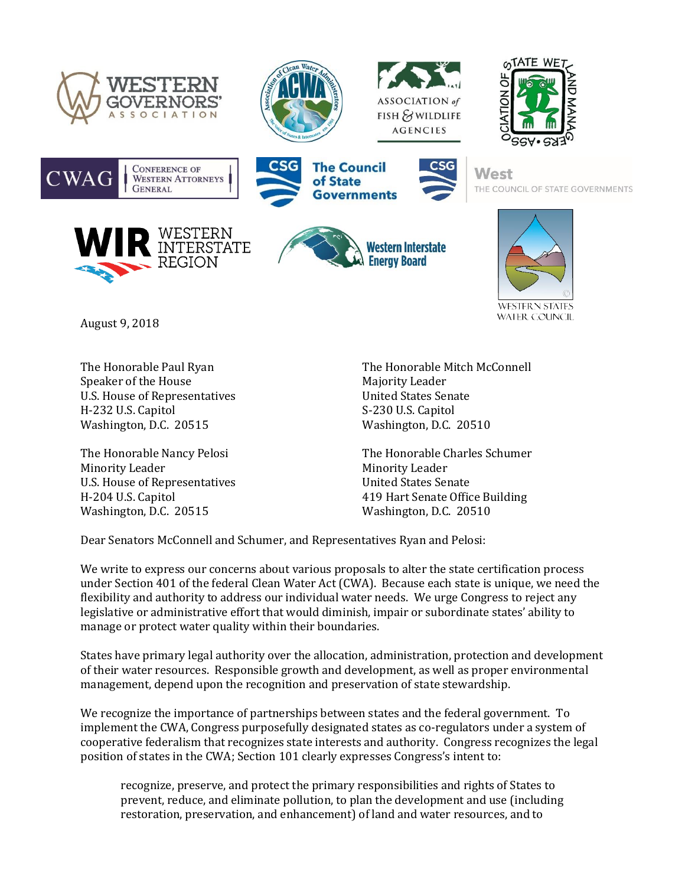













**West** THE COUNCIL OF STATE GOVERNMENTS







**WATER COUNCIL** 

August 9, 2018

Speaker of the House Majority Leader U.S. House of Representatives and the United States Senate H-232 U.S. Capitol S-230 U.S. Capitol Washington, D.C. 20515 Washington, D.C. 20510

Minority Leader **Minority Leader** Minority Leader U.S. House of Representatives United States Senate Washington, D.C. 20515 Washington, D.C. 20510

The Honorable Paul Ryan The Honorable Mitch McConnell

The Honorable Nancy Pelosi The Honorable Charles Schumer H-204 U.S. Capitol 419 Hart Senate Office Building

Dear Senators McConnell and Schumer, and Representatives Ryan and Pelosi:

We write to express our concerns about various proposals to alter the state certification process under Section 401 of the federal Clean Water Act (CWA). Because each state is unique, we need the flexibility and authority to address our individual water needs. We urge Congress to reject any legislative or administrative effort that would diminish, impair or subordinate states' ability to manage or protect water quality within their boundaries.

States have primary legal authority over the allocation, administration, protection and development of their water resources. Responsible growth and development, as well as proper environmental management, depend upon the recognition and preservation of state stewardship.

We recognize the importance of partnerships between states and the federal government. To implement the CWA, Congress purposefully designated states as co-regulators under a system of cooperative federalism that recognizes state interests and authority. Congress recognizes the legal position of states in the CWA; Section 101 clearly expresses Congress's intent to:

recognize, preserve, and protect the primary responsibilities and rights of States to prevent, reduce, and eliminate pollution, to plan the development and use (including restoration, preservation, and enhancement) of land and water resources, and to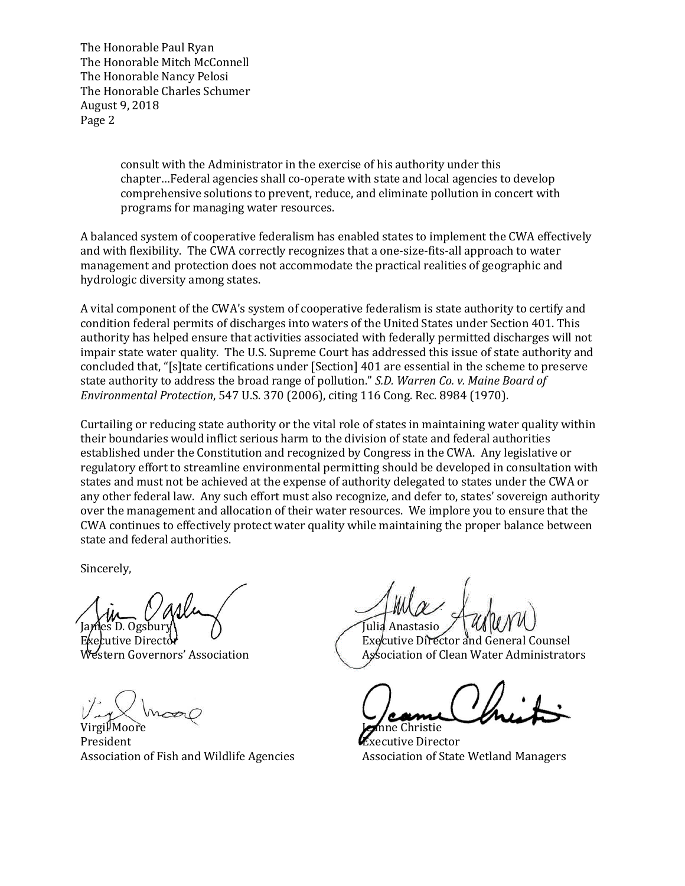The Honorable Paul Ryan The Honorable Mitch McConnell The Honorable Nancy Pelosi The Honorable Charles Schumer August 9, 2018 Page 2

> consult with the Administrator in the exercise of his authority under this chapter…Federal agencies shall co-operate with state and local agencies to develop comprehensive solutions to prevent, reduce, and eliminate pollution in concert with programs for managing water resources.

A balanced system of cooperative federalism has enabled states to implement the CWA effectively and with flexibility. The CWA correctly recognizes that a one-size-fits-all approach to water management and protection does not accommodate the practical realities of geographic and hydrologic diversity among states.

A vital component of the CWA's system of cooperative federalism is state authority to certify and condition federal permits of discharges into waters of the United States under Section 401. This authority has helped ensure that activities associated with federally permitted discharges will not impair state water quality. The U.S. Supreme Court has addressed this issue of state authority and concluded that, "[s]tate certifications under [Section] 401 are essential in the scheme to preserve state authority to address the broad range of pollution." *S.D. Warren Co. v. Maine Board of Environmental Protection*, 547 U.S. 370 (2006), citing 116 Cong. Rec. 8984 (1970).

Curtailing or reducing state authority or the vital role of states in maintaining water quality within their boundaries would inflict serious harm to the division of state and federal authorities established under the Constitution and recognized by Congress in the CWA. Any legislative or regulatory effort to streamline environmental permitting should be developed in consultation with states and must not be achieved at the expense of authority delegated to states under the CWA or any other federal law. Any such effort must also recognize, and defer to, states' sovereign authority over the management and allocation of their water resources. We implore you to ensure that the CWA continues to effectively protect water quality while maintaining the proper balance between state and federal authorities.

Sincerely,

Virgil Moore **Jeanne** Christie President **Executive Director** Association of Fish and Wildlife Agencies **Association of State Wetland Managers** 

Julia Anastasio

Executive Director Executive Director and General Counsel Stern Governors' Association Association Association of Clean Water Administrators